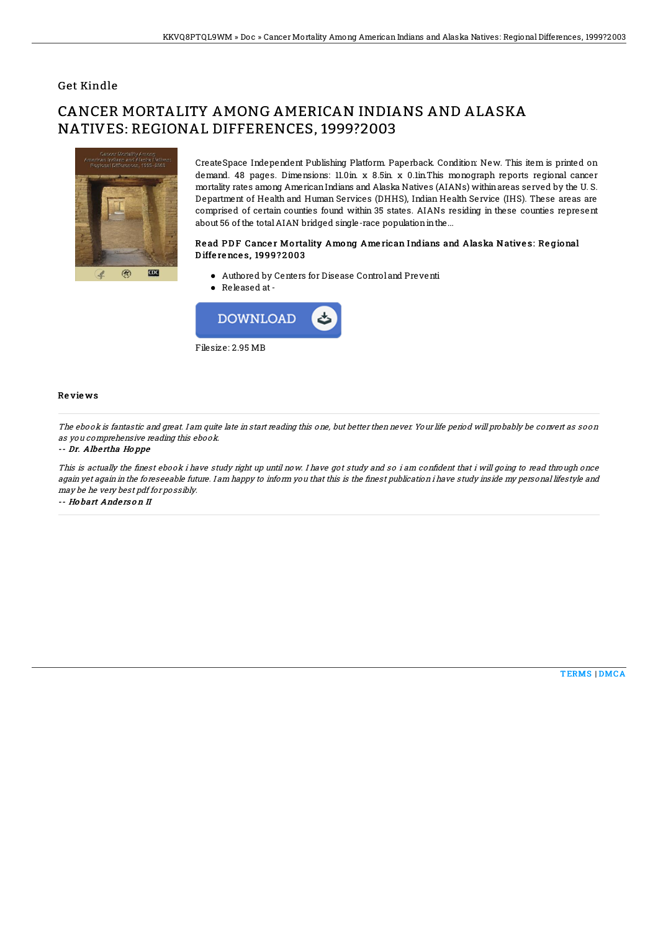## Get Kindle

# CANCER MORTALITY AMONG AMERICAN INDIANS AND ALASKA NATIVES: REGIONAL DIFFERENCES, 1999?2003



CreateSpace Independent Publishing Platform. Paperback. Condition: New. This item is printed on demand. 48 pages. Dimensions: 11.0in. x 8.5in. x 0.1in.This monograph reports regional cancer mortality rates among AmericanIndians and Alaska Natives (AIANs) withinareas served by the U. S. Department of Health and Human Services (DHHS), Indian Health Service (IHS). These areas are comprised of certain counties found within 35 states. AIANs residing in these counties represent about 56 of the total AIAN bridged single-race population in the...

### Read PDF Cancer Mortality Among American Indians and Alaska Natives: Regional D iffe re nce s, 1999? 2 003

- Authored by Centers for Disease Control and Preventi
- Released at-



#### Re vie ws

The ebook is fantastic and great. I am quite late in start reading this one, but better then never. Your life period will probably be convert as soon as you comprehensive reading this ebook.

#### -- Dr. Albe rtha Ho ppe

This is actually the finest ebook i have study right up until now. I have got study and so i am confident that i will going to read through once again yet again in the foreseeable future. I am happy to inform you that this is the finest publication i have study inside my personal lifestyle and may be he very best pdf for possibly.

-- Ho bart Ande rs o <sup>n</sup> II